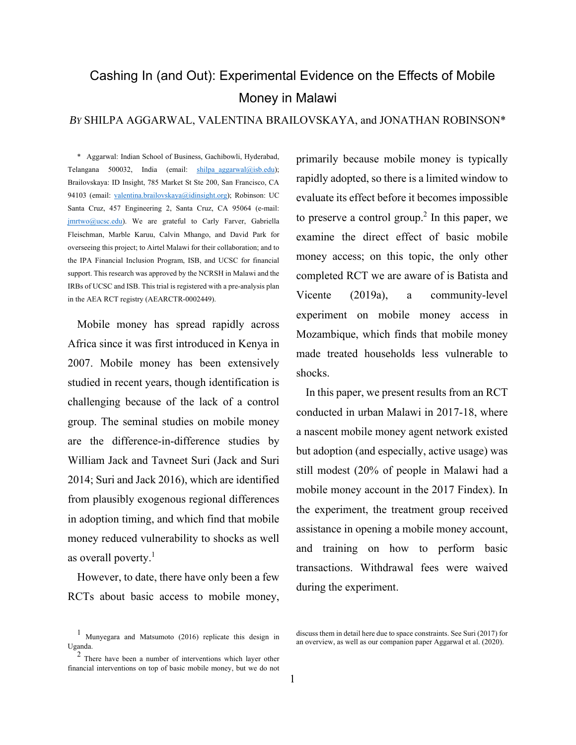# Cashing In (and Out): Experimental Evidence on the Effects of Mobile Money in Malawi

# *BY* SHILPA AGGARWAL, VALENTINA BRAILOVSKAYA, and JONATHAN ROBINSON\*

\* Aggarwal: Indian School of Business, Gachibowli, Hyderabad, Telangana 500032, India (email: shilpa aggarwal@isb.edu); Brailovskaya: ID Insight, 785 Market St Ste 200, San Francisco, CA 94103 (email: valentina.brailovskaya@idinsight.org); Robinson: UC Santa Cruz, 457 Engineering 2, Santa Cruz, CA 95064 (e-mail: jmrtwo@ucsc.edu). We are grateful to Carly Farver, Gabriella Fleischman, Marble Karuu, Calvin Mhango, and David Park for overseeing this project; to Airtel Malawi for their collaboration; and to the IPA Financial Inclusion Program, ISB, and UCSC for financial support. This research was approved by the NCRSH in Malawi and the IRBs of UCSC and ISB. This trial is registered with a pre-analysis plan in the AEA RCT registry (AEARCTR-0002449).

Mobile money has spread rapidly across Africa since it was first introduced in Kenya in 2007. Mobile money has been extensively studied in recent years, though identification is challenging because of the lack of a control group. The seminal studies on mobile money are the difference-in-difference studies by William Jack and Tavneet Suri (Jack and Suri 2014; Suri and Jack 2016), which are identified from plausibly exogenous regional differences in adoption timing, and which find that mobile money reduced vulnerability to shocks as well as overall poverty. $<sup>1</sup>$ </sup>

However, to date, there have only been a few RCTs about basic access to mobile money,

primarily because mobile money is typically rapidly adopted, so there is a limited window to evaluate its effect before it becomes impossible to preserve a control group.<sup>2</sup> In this paper, we examine the direct effect of basic mobile money access; on this topic, the only other completed RCT we are aware of is Batista and Vicente (2019a), a community-level experiment on mobile money access in Mozambique, which finds that mobile money made treated households less vulnerable to shocks.

In this paper, we present results from an RCT conducted in urban Malawi in 2017-18, where a nascent mobile money agent network existed but adoption (and especially, active usage) was still modest (20% of people in Malawi had a mobile money account in the 2017 Findex). In the experiment, the treatment group received assistance in opening a mobile money account, and training on how to perform basic transactions. Withdrawal fees were waived during the experiment.

<sup>1</sup> Munyegara and Matsumoto (2016) replicate this design in Uganda.

<sup>&</sup>lt;sup>2</sup> There have been a number of interventions which layer other financial interventions on top of basic mobile money, but we do not

discuss them in detail here due to space constraints. See Suri (2017) for an overview, as well as our companion paper Aggarwal et al. (2020).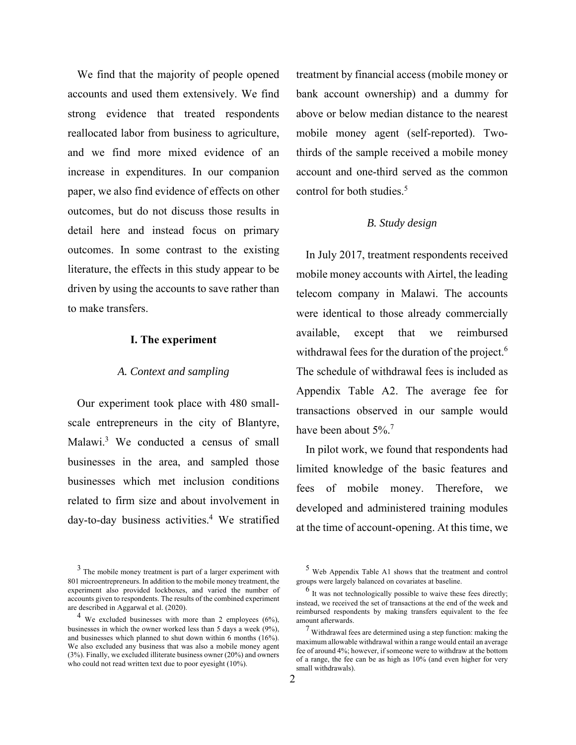We find that the majority of people opened accounts and used them extensively. We find strong evidence that treated respondents reallocated labor from business to agriculture, and we find more mixed evidence of an increase in expenditures. In our companion paper, we also find evidence of effects on other outcomes, but do not discuss those results in detail here and instead focus on primary outcomes. In some contrast to the existing literature, the effects in this study appear to be driven by using the accounts to save rather than to make transfers.

#### **I. The experiment**

## *A. Context and sampling*

Our experiment took place with 480 smallscale entrepreneurs in the city of Blantyre, Malawi.<sup>3</sup> We conducted a census of small businesses in the area, and sampled those businesses which met inclusion conditions related to firm size and about involvement in day-to-day business activities.<sup>4</sup> We stratified treatment by financial access (mobile money or bank account ownership) and a dummy for above or below median distance to the nearest mobile money agent (self-reported). Twothirds of the sample received a mobile money account and one-third served as the common control for both studies.<sup>5</sup>

## *B. Study design*

In July 2017, treatment respondents received mobile money accounts with Airtel, the leading telecom company in Malawi. The accounts were identical to those already commercially available, except that we reimbursed withdrawal fees for the duration of the project.<sup>6</sup> The schedule of withdrawal fees is included as Appendix Table A2. The average fee for transactions observed in our sample would have been about 5%.<sup>7</sup>

In pilot work, we found that respondents had limited knowledge of the basic features and fees of mobile money. Therefore, we developed and administered training modules at the time of account-opening. At this time, we

<sup>3</sup> The mobile money treatment is part of a larger experiment with 801 microentrepreneurs. In addition to the mobile money treatment, the experiment also provided lockboxes, and varied the number of accounts given to respondents. The results of the combined experiment are described in Aggarwal et al. (2020).

<sup>4</sup> We excluded businesses with more than 2 employees (6%), businesses in which the owner worked less than 5 days a week (9%), and businesses which planned to shut down within 6 months (16%). We also excluded any business that was also a mobile money agent (3%). Finally, we excluded illiterate business owner (20%) and owners who could not read written text due to poor eyesight (10%).

<sup>5</sup> Web Appendix Table A1 shows that the treatment and control groups were largely balanced on covariates at baseline.

<sup>&</sup>lt;sup>6</sup> It was not technologically possible to waive these fees directly; instead, we received the set of transactions at the end of the week and reimbursed respondents by making transfers equivalent to the fee amount afterwards.

<sup>7</sup> Withdrawal fees are determined using a step function: making the maximum allowable withdrawal within a range would entail an average fee of around 4%; however, if someone were to withdraw at the bottom of a range, the fee can be as high as 10% (and even higher for very small withdrawals).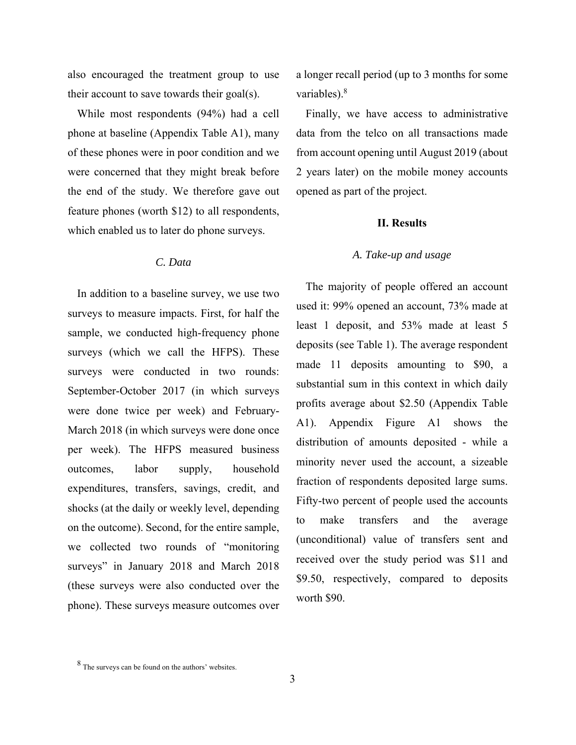also encouraged the treatment group to use their account to save towards their goal(s).

While most respondents (94%) had a cell phone at baseline (Appendix Table A1), many of these phones were in poor condition and we were concerned that they might break before the end of the study. We therefore gave out feature phones (worth \$12) to all respondents, which enabled us to later do phone surveys.

# *C. Data*

In addition to a baseline survey, we use two surveys to measure impacts. First, for half the sample, we conducted high-frequency phone surveys (which we call the HFPS). These surveys were conducted in two rounds: September-October 2017 (in which surveys were done twice per week) and February-March 2018 (in which surveys were done once per week). The HFPS measured business outcomes, labor supply, household expenditures, transfers, savings, credit, and shocks (at the daily or weekly level, depending on the outcome). Second, for the entire sample, we collected two rounds of "monitoring surveys" in January 2018 and March 2018 (these surveys were also conducted over the phone). These surveys measure outcomes over

a longer recall period (up to 3 months for some variables).<sup>8</sup>

Finally, we have access to administrative data from the telco on all transactions made from account opening until August 2019 (about 2 years later) on the mobile money accounts opened as part of the project.

#### **II. Results**

### *A. Take-up and usage*

The majority of people offered an account used it: 99% opened an account, 73% made at least 1 deposit, and 53% made at least 5 deposits (see Table 1). The average respondent made 11 deposits amounting to \$90, a substantial sum in this context in which daily profits average about \$2.50 (Appendix Table A1). Appendix Figure A1 shows the distribution of amounts deposited - while a minority never used the account, a sizeable fraction of respondents deposited large sums. Fifty-two percent of people used the accounts to make transfers and the average (unconditional) value of transfers sent and received over the study period was \$11 and \$9.50, respectively, compared to deposits worth \$90.

<sup>8</sup> The surveys can be found on the authors' websites.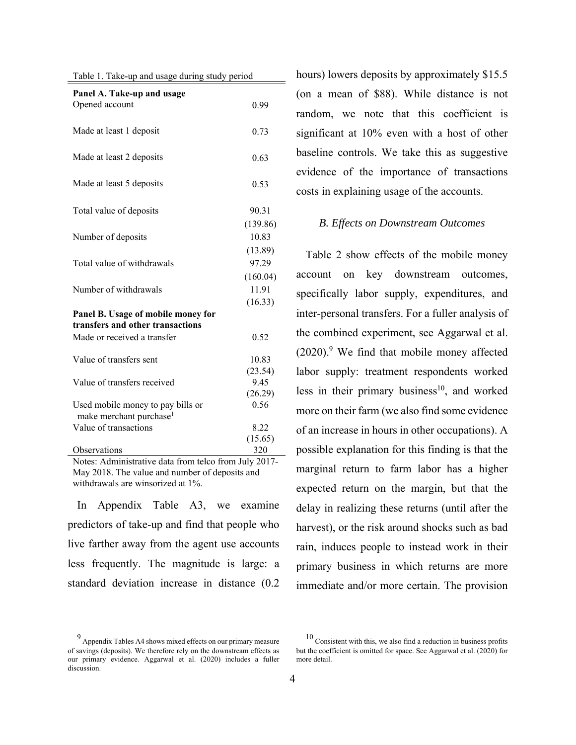|  | Table 1. Take-up and usage during study period |  |  |  |  |  |
|--|------------------------------------------------|--|--|--|--|--|
|--|------------------------------------------------|--|--|--|--|--|

| Panel A. Take-up and usage<br>Opened account                             | 0.99              |
|--------------------------------------------------------------------------|-------------------|
| Made at least 1 deposit                                                  | 0.73              |
| Made at least 2 deposits                                                 | 0.63              |
| Made at least 5 deposits                                                 | 0.53              |
| Total value of deposits                                                  | 90.31             |
| Number of deposits                                                       | (139.86)<br>10.83 |
| Total value of withdrawals                                               | (13.89)<br>97.29  |
| Number of withdrawals                                                    | (160.04)<br>11.91 |
| Panel B. Usage of mobile money for<br>transfers and other transactions   | (16.33)           |
| Made or received a transfer                                              | 0.52              |
| Value of transfers sent                                                  | 10.83<br>(23.54)  |
| Value of transfers received                                              | 9.45<br>(26.29)   |
| Used mobile money to pay bills or<br>make merchant purchase <sup>1</sup> | 0.56              |
| Value of transactions                                                    | 8.22              |
| Observations                                                             | (15.65)<br>320    |

Notes: Administrative data from telco from July 2017- May 2018. The value and number of deposits and withdrawals are winsorized at 1%.

In Appendix Table A3, we examine predictors of take-up and find that people who live farther away from the agent use accounts less frequently. The magnitude is large: a standard deviation increase in distance (0.2

9 Appendix Tables A4 shows mixed effects on our primary measure of savings (deposits). We therefore rely on the downstream effects as our primary evidence. Aggarwal et al. (2020) includes a fuller discussion.

hours) lowers deposits by approximately \$15.5 (on a mean of \$88). While distance is not random, we note that this coefficient is significant at 10% even with a host of other baseline controls. We take this as suggestive evidence of the importance of transactions costs in explaining usage of the accounts.

#### *B. Effects on Downstream Outcomes*

Table 2 show effects of the mobile money account on key downstream outcomes, specifically labor supply, expenditures, and inter-personal transfers. For a fuller analysis of the combined experiment, see Aggarwal et al.  $(2020)$ .<sup>9</sup> We find that mobile money affected labor supply: treatment respondents worked less in their primary business<sup>10</sup>, and worked more on their farm (we also find some evidence of an increase in hours in other occupations). A possible explanation for this finding is that the marginal return to farm labor has a higher expected return on the margin, but that the delay in realizing these returns (until after the harvest), or the risk around shocks such as bad rain, induces people to instead work in their primary business in which returns are more immediate and/or more certain. The provision

 $10$  Consistent with this, we also find a reduction in business profits but the coefficient is omitted for space. See Aggarwal et al. (2020) for more detail.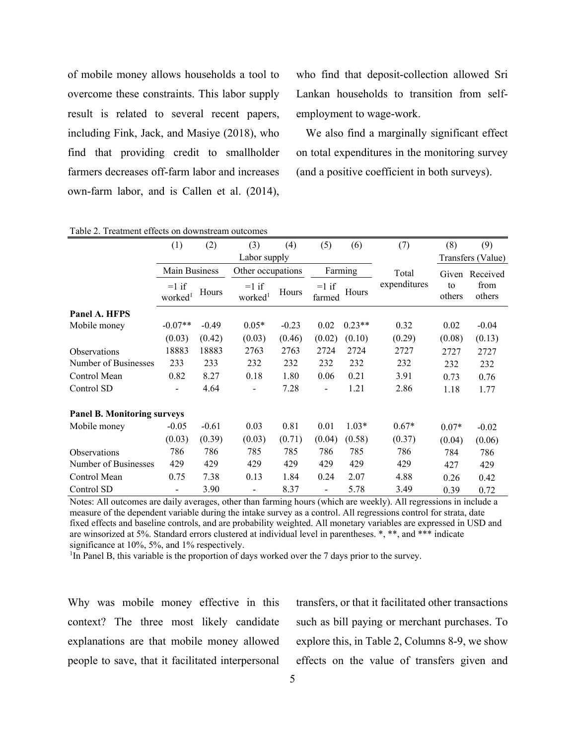of mobile money allows households a tool to overcome these constraints. This labor supply result is related to several recent papers, including Fink, Jack, and Masiye (2018), who find that providing credit to smallholder farmers decreases off-farm labor and increases own-farm labor, and is Callen et al. (2014),

who find that deposit-collection allowed Sri Lankan households to transition from selfemployment to wage-work.

We also find a marginally significant effect on total expenditures in the monitoring survey (and a positive coefficient in both surveys).

| Table 2. Treatment effects on downstream outcomes |                                |         |                                |         |                          |          |              |              |                   |  |  |
|---------------------------------------------------|--------------------------------|---------|--------------------------------|---------|--------------------------|----------|--------------|--------------|-------------------|--|--|
|                                                   | (1)                            | (2)     | (3)                            | (4)     | (5)                      | (6)      | (7)          | (8)          | (9)               |  |  |
|                                                   |                                |         | Labor supply                   |         |                          |          |              |              | Transfers (Value) |  |  |
|                                                   | Main Business                  |         | Other occupations              |         | Farming                  |          | Total        |              | Given Received    |  |  |
|                                                   | $=1$ if<br>worked <sup>1</sup> | Hours   | $=1$ if<br>worked <sup>1</sup> | Hours   | $=1$ if<br>farmed        | Hours    | expenditures | to<br>others | from<br>others    |  |  |
| Panel A. HFPS                                     |                                |         |                                |         |                          |          |              |              |                   |  |  |
| Mobile money                                      | $-0.07**$                      | $-0.49$ | $0.05*$                        | $-0.23$ | 0.02                     | $0.23**$ | 0.32         | 0.02         | $-0.04$           |  |  |
|                                                   | (0.03)                         | (0.42)  | (0.03)                         | (0.46)  | (0.02)                   | (0.10)   | (0.29)       | (0.08)       | (0.13)            |  |  |
| <b>Observations</b>                               | 18883                          | 18883   | 2763                           | 2763    | 2724                     | 2724     | 2727         | 2727         | 2727              |  |  |
| Number of Businesses                              | 233                            | 233     | 232                            | 232     | 232                      | 232      | 232          | 232          | 232               |  |  |
| Control Mean                                      | 0.82                           | 8.27    | 0.18                           | 1.80    | 0.06                     | 0.21     | 3.91         | 0.73         | 0.76              |  |  |
| Control SD                                        | $\blacksquare$                 | 4.64    |                                | 7.28    | $\overline{\phantom{a}}$ | 1.21     | 2.86         | 1.18         | 1.77              |  |  |
| <b>Panel B. Monitoring surveys</b>                |                                |         |                                |         |                          |          |              |              |                   |  |  |
| Mobile money                                      | $-0.05$                        | $-0.61$ | 0.03                           | 0.81    | 0.01                     | $1.03*$  | $0.67*$      | $0.07*$      | $-0.02$           |  |  |
|                                                   | (0.03)                         | (0.39)  | (0.03)                         | (0.71)  | (0.04)                   | (0.58)   | (0.37)       | (0.04)       | (0.06)            |  |  |
| <b>Observations</b>                               | 786                            | 786     | 785                            | 785     | 786                      | 785      | 786          | 784          | 786               |  |  |
| Number of Businesses                              | 429                            | 429     | 429                            | 429     | 429                      | 429      | 429          | 427          | 429               |  |  |
| Control Mean                                      | 0.75                           | 7.38    | 0.13                           | 1.84    | 0.24                     | 2.07     | 4.88         | 0.26         | 0.42              |  |  |
| Control SD                                        | $\overline{\phantom{a}}$       | 3.90    | -                              | 8.37    | $\overline{\phantom{a}}$ | 5.78     | 3.49         | 0.39         | 0.72              |  |  |

Table 2. Treatment effects on downstream outcomes

Notes: All outcomes are daily averages, other than farming hours (which are weekly). All regressions in include a measure of the dependent variable during the intake survey as a control. All regressions control for strata, date fixed effects and baseline controls, and are probability weighted. All monetary variables are expressed in USD and are winsorized at 5%. Standard errors clustered at individual level in parentheses. \*, \*\*, and \*\*\* indicate significance at 10%, 5%, and 1% respectively.

<sup>1</sup>In Panel B, this variable is the proportion of days worked over the 7 days prior to the survey.

Why was mobile money effective in this context? The three most likely candidate explanations are that mobile money allowed people to save, that it facilitated interpersonal

transfers, or that it facilitated other transactions such as bill paying or merchant purchases. To explore this, in Table 2, Columns 8-9, we show effects on the value of transfers given and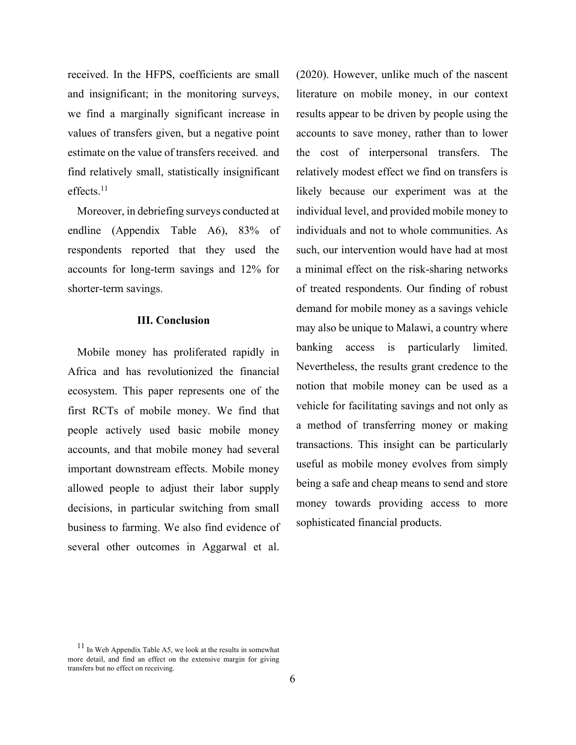received. In the HFPS, coefficients are small and insignificant; in the monitoring surveys, we find a marginally significant increase in values of transfers given, but a negative point estimate on the value of transfers received. and find relatively small, statistically insignificant effects.<sup>11</sup>

Moreover, in debriefing surveys conducted at endline (Appendix Table A6), 83% of respondents reported that they used the accounts for long-term savings and 12% for shorter-term savings.

### **III. Conclusion**

Mobile money has proliferated rapidly in Africa and has revolutionized the financial ecosystem. This paper represents one of the first RCTs of mobile money. We find that people actively used basic mobile money accounts, and that mobile money had several important downstream effects. Mobile money allowed people to adjust their labor supply decisions, in particular switching from small business to farming. We also find evidence of several other outcomes in Aggarwal et al.

(2020). However, unlike much of the nascent literature on mobile money, in our context results appear to be driven by people using the accounts to save money, rather than to lower the cost of interpersonal transfers. The relatively modest effect we find on transfers is likely because our experiment was at the individual level, and provided mobile money to individuals and not to whole communities. As such, our intervention would have had at most a minimal effect on the risk-sharing networks of treated respondents. Our finding of robust demand for mobile money as a savings vehicle may also be unique to Malawi, a country where banking access is particularly limited. Nevertheless, the results grant credence to the notion that mobile money can be used as a vehicle for facilitating savings and not only as a method of transferring money or making transactions. This insight can be particularly useful as mobile money evolves from simply being a safe and cheap means to send and store money towards providing access to more sophisticated financial products.

 $11$  In Web Appendix Table A5, we look at the results in somewhat more detail, and find an effect on the extensive margin for giving transfers but no effect on receiving.